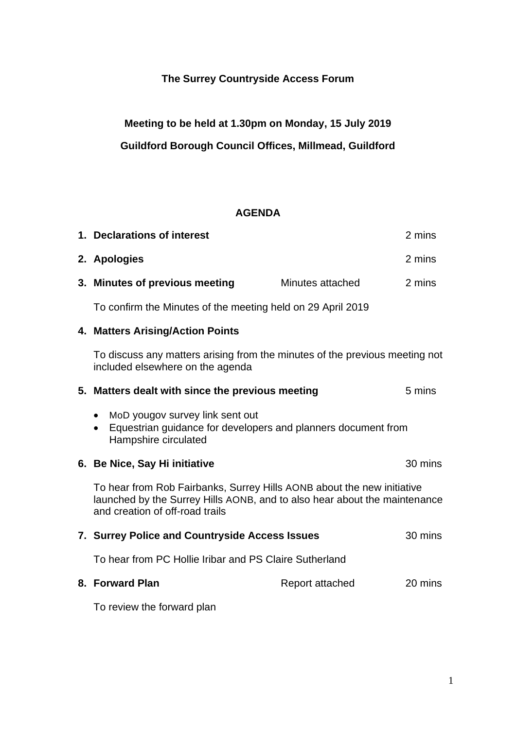## **The Surrey Countryside Access Forum**

**Meeting to be held at 1.30pm on Monday, 15 July 2019 Guildford Borough Council Offices, Millmead, Guildford** 

## **AGENDA**

|  | 1. Declarations of interest                                                                                                                                                            |                  | 2 mins  |
|--|----------------------------------------------------------------------------------------------------------------------------------------------------------------------------------------|------------------|---------|
|  | 2. Apologies                                                                                                                                                                           |                  | 2 mins  |
|  | 3. Minutes of previous meeting                                                                                                                                                         | Minutes attached | 2 mins  |
|  | To confirm the Minutes of the meeting held on 29 April 2019                                                                                                                            |                  |         |
|  | 4. Matters Arising/Action Points<br>To discuss any matters arising from the minutes of the previous meeting not<br>included elsewhere on the agenda                                    |                  |         |
|  |                                                                                                                                                                                        |                  |         |
|  | 5. Matters dealt with since the previous meeting                                                                                                                                       |                  | 5 mins  |
|  | MoD yougov survey link sent out<br>$\bullet$<br>Equestrian guidance for developers and planners document from<br>$\bullet$<br>Hampshire circulated                                     |                  |         |
|  | 6. Be Nice, Say Hi initiative                                                                                                                                                          |                  | 30 mins |
|  | To hear from Rob Fairbanks, Surrey Hills AONB about the new initiative<br>launched by the Surrey Hills AONB, and to also hear about the maintenance<br>and creation of off-road trails |                  |         |
|  | 7. Surrey Police and Countryside Access Issues                                                                                                                                         |                  | 30 mins |
|  | To hear from PC Hollie Iribar and PS Claire Sutherland                                                                                                                                 |                  |         |
|  | 8. Forward Plan                                                                                                                                                                        | Report attached  | 20 mins |
|  | To review the forward plan                                                                                                                                                             |                  |         |